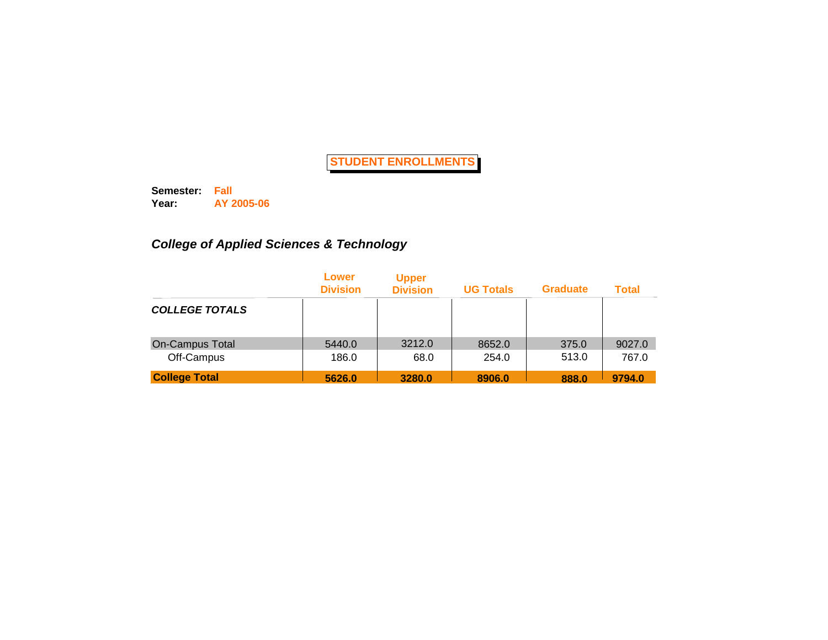**Semester: Fall Year: AY 2005-06**

## *College of Applied Sciences & Technology*

|                        | Lower<br><b>Division</b> | <b>Upper</b><br><b>Division</b> | <b>UG Totals</b> | <b>Graduate</b> | <b>Total</b> |
|------------------------|--------------------------|---------------------------------|------------------|-----------------|--------------|
| <b>COLLEGE TOTALS</b>  |                          |                                 |                  |                 |              |
| <b>On-Campus Total</b> | 5440.0                   | 3212.0                          | 8652.0           | 375.0           | 9027.0       |
| Off-Campus             | 186.0                    | 68.0                            | 254.0            | 513.0           | 767.0        |
| <b>College Total</b>   | 5626.0                   | 3280.0                          | 8906.0           | 888.0           | 9794.0       |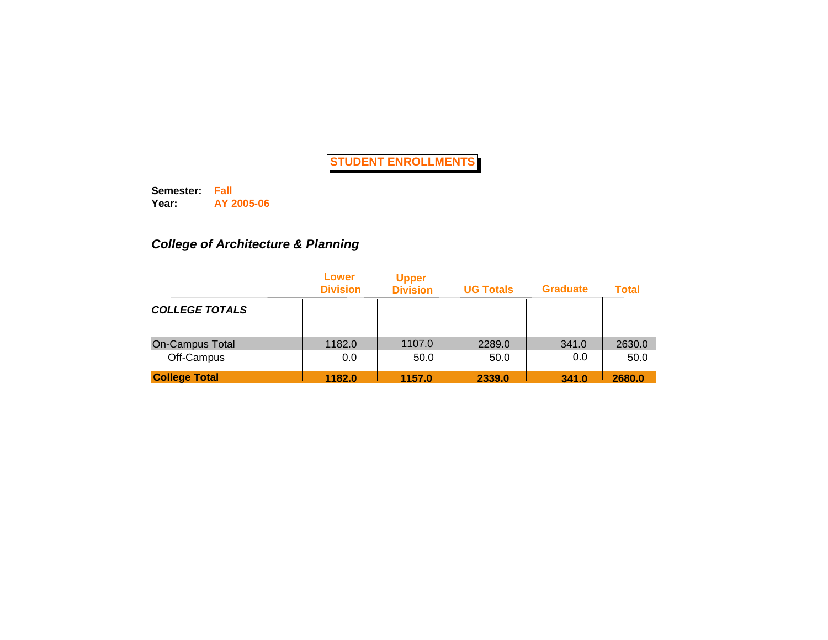**Semester: Fall Year: AY 2005-06**

# *College of Architecture & Planning*

|                        | Lower<br><b>Division</b> | <b>Upper</b><br><b>Division</b> | <b>UG Totals</b> | <b>Graduate</b> | <b>Total</b> |
|------------------------|--------------------------|---------------------------------|------------------|-----------------|--------------|
| <b>COLLEGE TOTALS</b>  |                          |                                 |                  |                 |              |
| <b>On-Campus Total</b> | 1182.0                   | 1107.0                          | 2289.0           | 341.0           | 2630.0       |
| Off-Campus             | 0.0                      | 50.0                            | 50.0             | 0.0             | 50.0         |
| <b>College Total</b>   | 1182.0                   | 1157.0                          | 2339.0           | 341.0           | 2680.0       |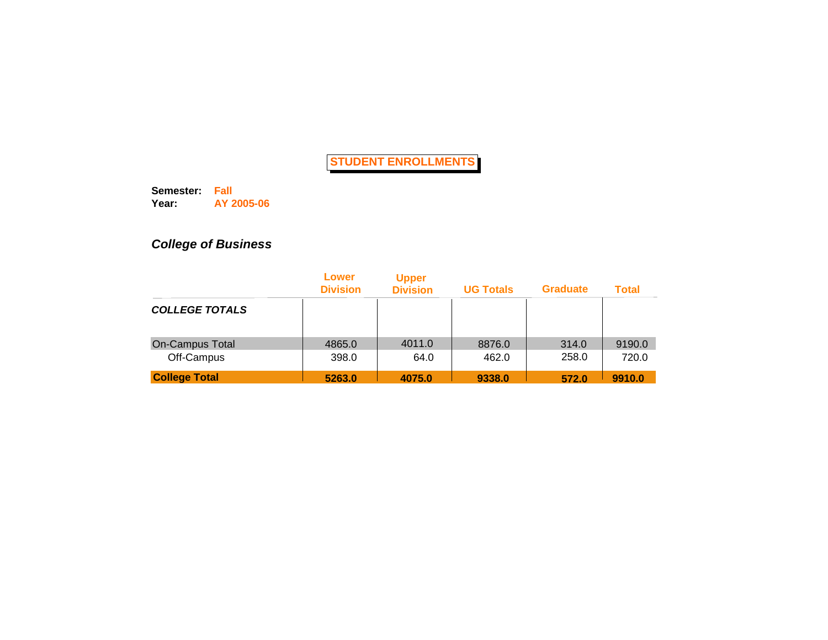**Semester: Fall Year: AY 2005-06**

# *College of Business*

|                       | Lower<br><b>Division</b> | <b>Upper</b><br><b>Division</b> | <b>UG Totals</b> | <b>Graduate</b> | <b>Total</b> |
|-----------------------|--------------------------|---------------------------------|------------------|-----------------|--------------|
| <b>COLLEGE TOTALS</b> |                          |                                 |                  |                 |              |
| On-Campus Total       | 4865.0                   | 4011.0                          | 8876.0           | 314.0           | 9190.0       |
| Off-Campus            | 398.0                    | 64.0                            | 462.0            | 258.0           | 720.0        |
| <b>College Total</b>  | 5263.0                   | 4075.0                          | 9338.0           | 572.0           | 9910.0       |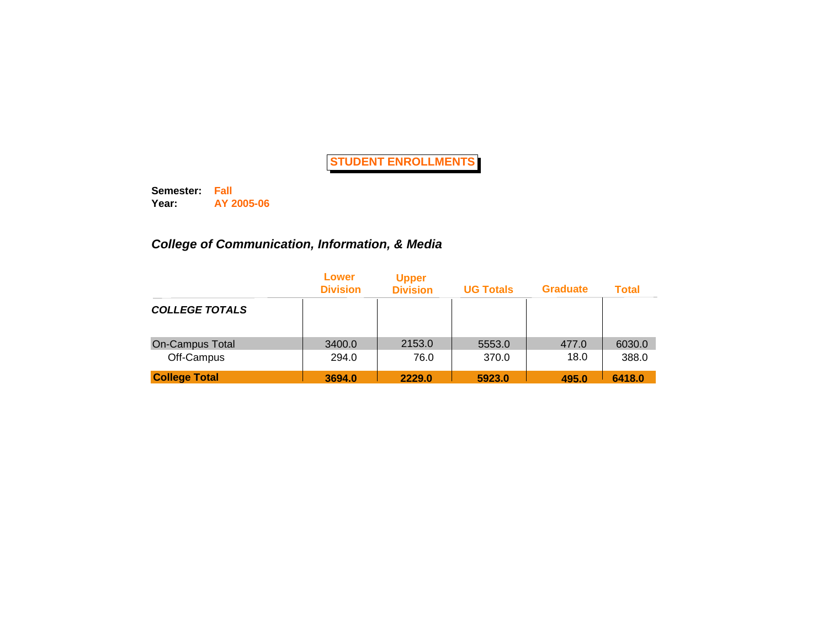**Semester: Fall Year: AY 2005-06**

## *College of Communication, Information, & Media*

|                       | Lower<br><b>Division</b> | <b>Upper</b><br><b>Division</b> | <b>UG Totals</b> | <b>Graduate</b> | <b>Total</b> |
|-----------------------|--------------------------|---------------------------------|------------------|-----------------|--------------|
| <b>COLLEGE TOTALS</b> |                          |                                 |                  |                 |              |
| On-Campus Total       | 3400.0                   | 2153.0                          | 5553.0           | 477.0           | 6030.0       |
| Off-Campus            | 294.0                    | 76.0                            | 370.0            | 18.0            | 388.0        |
| <b>College Total</b>  | 3694.0                   | 2229.0                          | 5923.0           | 495.0           | 6418.0       |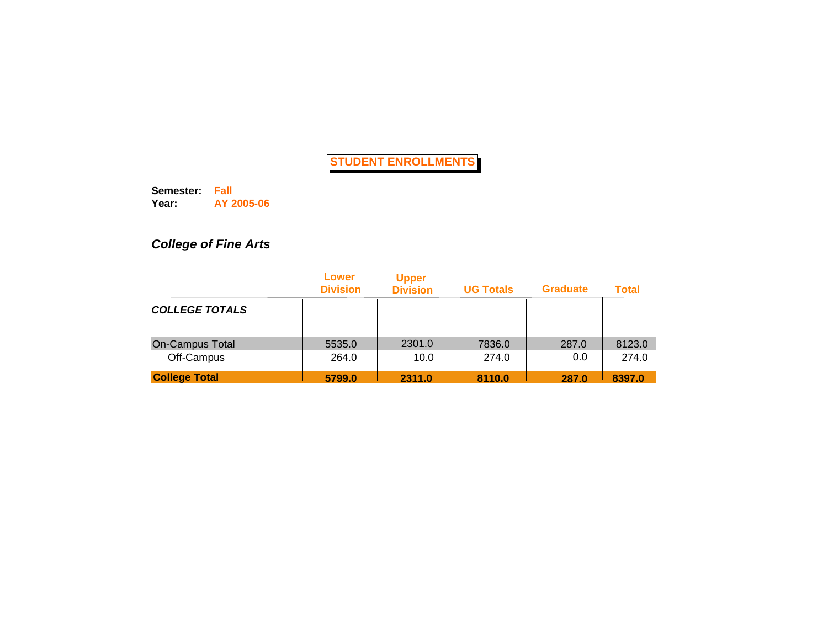**Semester: Fall Year: AY 2005-06**

# *College of Fine Arts*

|                       | Lower<br><b>Division</b> | <b>Upper</b><br><b>Division</b> | <b>UG Totals</b> | <b>Graduate</b> | <b>Total</b> |
|-----------------------|--------------------------|---------------------------------|------------------|-----------------|--------------|
| <b>COLLEGE TOTALS</b> |                          |                                 |                  |                 |              |
| On-Campus Total       | 5535.0                   | 2301.0                          | 7836.0           | 287.0           | 8123.0       |
| Off-Campus            | 264.0                    | 10.0                            | 274.0            | 0.0             | 274.0        |
| <b>College Total</b>  | 5799.0                   | 2311.0                          | 8110.0           | 287.0           | 8397.0       |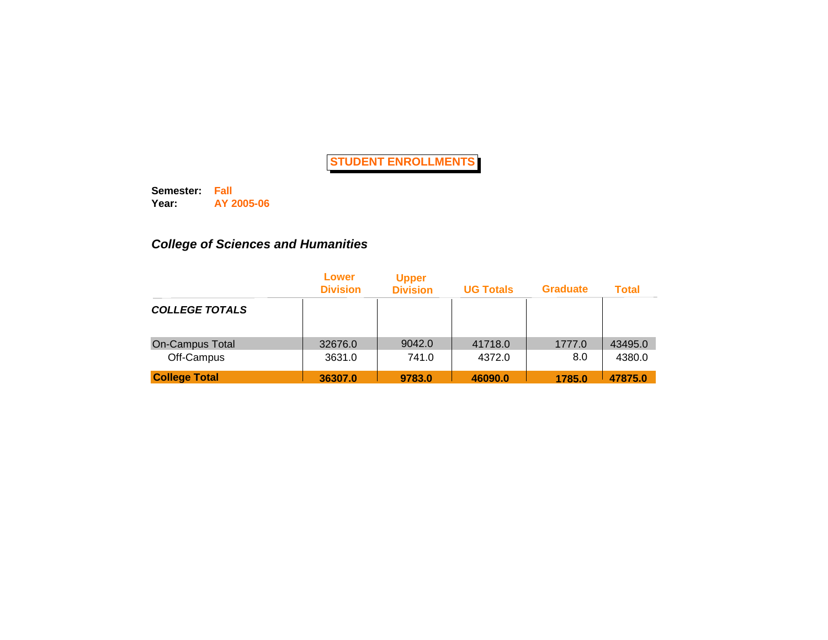**Semester: Fall Year: AY 2005-06**

## *College of Sciences and Humanities*

|                       | Lower<br><b>Division</b> | <b>Upper</b><br><b>Division</b> | <b>UG Totals</b> | <b>Graduate</b> | <b>Total</b> |
|-----------------------|--------------------------|---------------------------------|------------------|-----------------|--------------|
| <b>COLLEGE TOTALS</b> |                          |                                 |                  |                 |              |
| On-Campus Total       | 32676.0                  | 9042.0                          | 41718.0          | 1777.0          | 43495.0      |
| Off-Campus            | 3631.0                   | 741.0                           | 4372.0           | 8.0             | 4380.0       |
| <b>College Total</b>  | 36307.0                  | 9783.0                          | 46090.0          | 1785.0          | 47875.0      |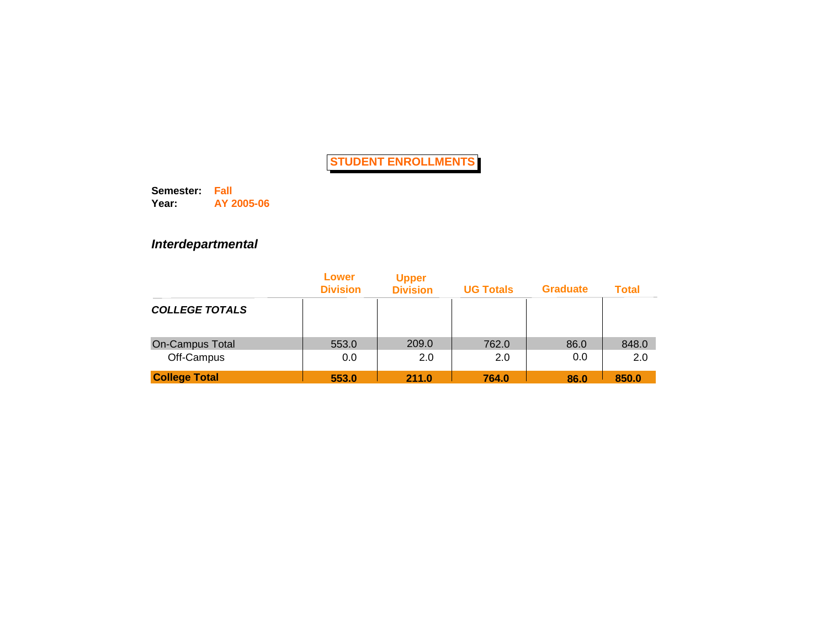**Semester: Fall Year: AY 2005-06**

### *Interdepartmental*

|                        | Lower<br><b>Division</b> | <b>Upper</b><br><b>Division</b> | <b>UG Totals</b> | <b>Graduate</b> | <b>Total</b> |
|------------------------|--------------------------|---------------------------------|------------------|-----------------|--------------|
| <b>COLLEGE TOTALS</b>  |                          |                                 |                  |                 |              |
| <b>On-Campus Total</b> | 553.0                    | 209.0                           | 762.0            | 86.0            | 848.0        |
| Off-Campus             | 0.0                      | 2.0                             | 2.0              | 0.0             | 2.0          |
| <b>College Total</b>   | 553.0                    | 211.0                           | 764.0            | 86.0            | 850.0        |